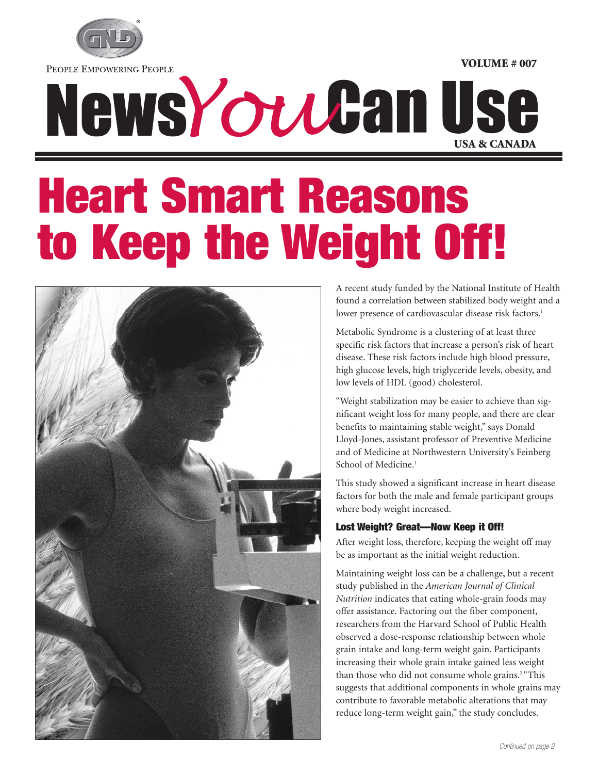

PEOPLE EMPOWERING PEOPLE

# NewsYouGan Use **USA & CANADA**

# **Heart Smart Reasons to Keep the Weight Off!**



A recent study funded by the National Institute of Health found a correlation between stabilized body weight and a lower presence of cardiovascular disease risk factors.<sup>1</sup>

**VOLUME # 007**

Metabolic Syndrome is a clustering of at least three specific risk factors that increase a person's risk of heart disease. These risk factors include high blood pressure, high glucose levels, high triglyceride levels, obesity, and low levels of HDL (good) cholesterol.

"Weight stabilization may be easier to achieve than significant weight loss for many people, and there are clear benefits to maintaining stable weight," says Donald Lloyd-Jones, assistant professor of Preventive Medicine and of Medicine at Northwestern University's Feinberg School of Medicine.<sup>1</sup>

This study showed a significant increase in heart disease factors for both the male and female participant groups where body weight increased.

### **Lost Weight? Great—Now Keep it Off!**

After weight loss, therefore, keeping the weight off may be as important as the initial weight reduction.

Maintaining weight loss can be a challenge, but a recent study published in the *American Journal of Clinical Nutrition* indicates that eating whole-grain foods may offer assistance. Factoring out the fiber component, researchers from the Harvard School of Public Health observed a dose-response relationship between whole grain intake and long-term weight gain. Participants increasing their whole grain intake gained less weight than those who did not consume whole grains.<sup>2 "This</sup> suggests that additional components in whole grains may contribute to favorable metabolic alterations that may reduce long-term weight gain," the study concludes.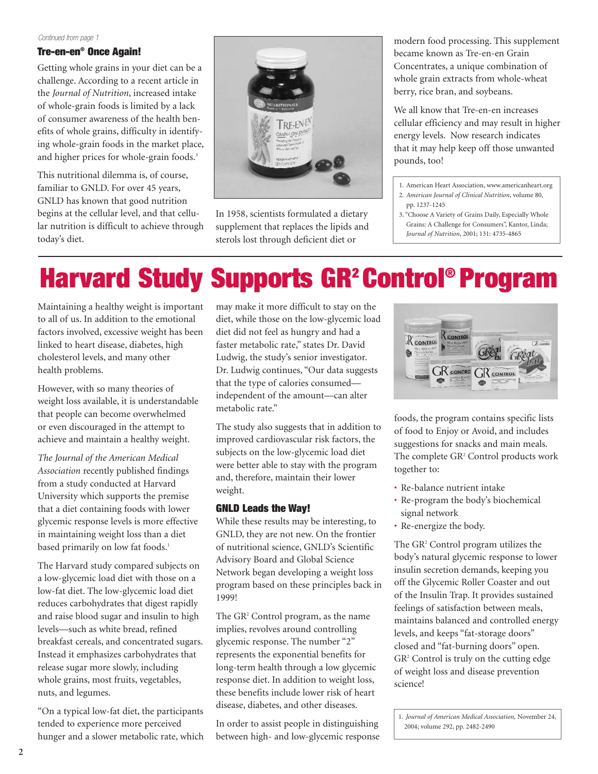#### *Continued from page 1*

### **Tre-en-en® Once Again!**

Getting whole grains in your diet can be a challenge. According to a recent article in the *Journal of Nutrition*, increased intake of whole-grain foods is limited by a lack of consumer awareness of the health benefits of whole grains, difficulty in identifying whole-grain foods in the market place, and higher prices for whole-grain foods.<sup>3</sup>

This nutritional dilemma is, of course, familiar to GNLD. For over 45 years, GNLD has known that good nutrition begins at the cellular level, and that cellular nutrition is difficult to achieve through today's diet.



In 1958, scientists formulated a dietary supplement that replaces the lipids and sterols lost through deficient diet or

modern food processing. This supplement became known as Tre-en-en Grain Concentrates, a unique combination of whole grain extracts from whole-wheat berry, rice bran, and soybeans.

We all know that Tre-en-en increases cellular efficiency and may result in higher energy levels. Now research indicates that it may help keep off those unwanted pounds, too!

- 1. American Heart Association, www.americanheart.org 2. *American Journal of Clinical Nutrition*, volume 80, pp. 1237-1245
- 3. "Choose A Variety of Grains Daily, Especially Whole Grains: A Challenge for Consumers", Kantor, Linda; *Journal of Nutrition*, 2001; 131: 4735-4865

### **Harvard Study Supports GR2 Control® Program**

Maintaining a healthy weight is important to all of us. In addition to the emotional factors involved, excessive weight has been linked to heart disease, diabetes, high cholesterol levels, and many other health problems.

However, with so many theories of weight loss available, it is understandable that people can become overwhelmed or even discouraged in the attempt to achieve and maintain a healthy weight.

*The Journal of the American Medical Association* recently published findings from a study conducted at Harvard University which supports the premise that a diet containing foods with lower glycemic response levels is more effective in maintaining weight loss than a diet based primarily on low fat foods.<sup>1</sup>

The Harvard study compared subjects on a low-glycemic load diet with those on a low-fat diet. The low-glycemic load diet reduces carbohydrates that digest rapidly and raise blood sugar and insulin to high levels—such as white bread, refined breakfast cereals, and concentrated sugars. Instead it emphasizes carbohydrates that release sugar more slowly, including whole grains, most fruits, vegetables, nuts, and legumes.

"On a typical low-fat diet, the participants tended to experience more perceived hunger and a slower metabolic rate, which may make it more difficult to stay on the diet, while those on the low-glycemic load diet did not feel as hungry and had a faster metabolic rate," states Dr. David Ludwig, the study's senior investigator. Dr. Ludwig continues, "Our data suggests that the type of calories consumed independent of the amount—can alter metabolic rate."

The study also suggests that in addition to improved cardiovascular risk factors, the subjects on the low-glycemic load diet were better able to stay with the program and, therefore, maintain their lower weight.

### **GNLD Leads the Way!**

While these results may be interesting, to GNLD, they are not new. On the frontier of nutritional science, GNLD's Scientific Advisory Board and Global Science Network began developing a weight loss program based on these principles back in 1999!

The GR<sup>2</sup> Control program, as the name implies, revolves around controlling glycemic response. The number "2" represents the exponential benefits for long-term health through a low glycemic response diet. In addition to weight loss, these benefits include lower risk of heart disease, diabetes, and other diseases.

In order to assist people in distinguishing between high- and low-glycemic response



foods, the program contains specific lists of food to Enjoy or Avoid, and includes suggestions for snacks and main meals. The complete GR<sup>2</sup> Control products work together to:

- Re-balance nutrient intake
- Re-program the body's biochemical signal network
- Re-energize the body.

The GR<sup>2</sup> Control program utilizes the body's natural glycemic response to lower insulin secretion demands, keeping you off the Glycemic Roller Coaster and out of the Insulin Trap. It provides sustained feelings of satisfaction between meals, maintains balanced and controlled energy levels, and keeps "fat-storage doors" closed and "fat-burning doors" open. GR2 Control is truly on the cutting edge of weight loss and disease prevention science!

1. *Journal of American Medical Association,* November 24, 2004; volume 292, pp. 2482-2490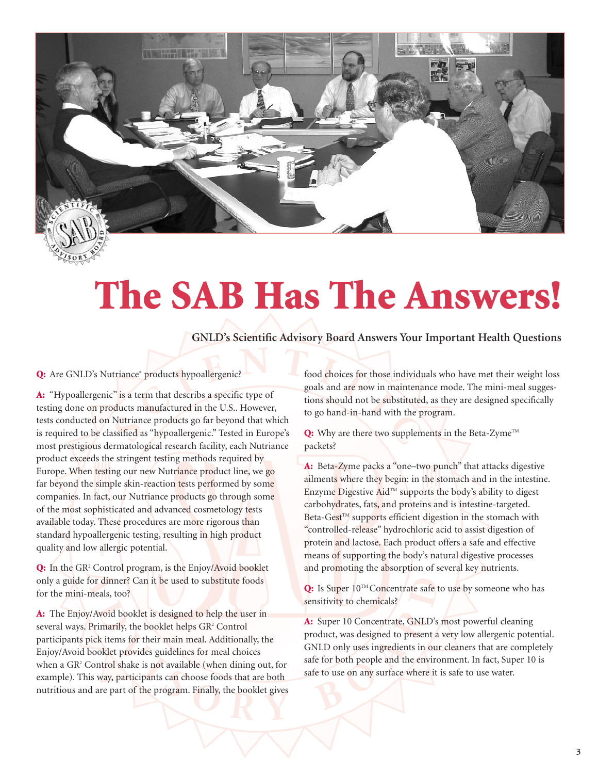

## **The SAB Has The Answers!**

**GNLD's Scientific Advisory Board Answers Your Important Health Questions**

### Q: Are GNLD's Nutriance<sup>®</sup> products hypoallergenic?

**A:** "Hypoallergenic" is a term that describs a specific type of testing done on products manufactured in the U.S.. However, tests conducted on Nutriance products go far beyond that which is required to be classified as "hypoallergenic." Tested in Europe's most prestigious dermatological research facility, each Nutriance product exceeds the stringent testing methods required by Europe. When testing our new Nutriance product line, we go far beyond the simple skin-reaction tests performed by some companies. In fact, our Nutriance products go through some of the most sophisticated and advanced cosmetology tests available today. These procedures are more rigorous than standard hypoallergenic testing, resulting in high product quality and low allergic potential.

**Q:** In the GR2 Control program, is the Enjoy/Avoid booklet only a guide for dinner? Can it be used to substitute foods for the mini-meals, too?

**A:** The Enjoy/Avoid booklet is designed to help the user in several ways. Primarily, the booklet helps GR<sup>2</sup> Control participants pick items for their main meal. Additionally, the Enjoy/Avoid booklet provides guidelines for meal choices when a GR2 Control shake is not available (when dining out, for example). This way, participants can choose foods that are both nutritious and are part of the program. Finally, the booklet gives food choices for those individuals who have met their weight loss goals and are now in maintenance mode. The mini-meal suggestions should not be substituted, as they are designed specifically to go hand-in-hand with the program.

Q: Why are there two supplements in the Beta-Zyme<sup>TM</sup> packets?

**A:** Beta-Zyme packs a "one–two punch" that attacks digestive ailments where they begin: in the stomach and in the intestine. Enzyme Digestive AidTM supports the body's ability to digest carbohydrates, fats, and proteins and is intestine-targeted.  $Beta-Gest^{TM}$  supports efficient digestion in the stomach with "controlled-release" hydrochloric acid to assist digestion of protein and lactose. Each product offers a safe and effective means of supporting the body's natural digestive processes and promoting the absorption of several key nutrients.

Q: Is Super 10™ Concentrate safe to use by someone who has sensitivity to chemicals?

**A:** Super 10 Concentrate, GNLD's most powerful cleaning product, was designed to present a very low allergenic potential. GNLD only uses ingredients in our cleaners that are completely safe for both people and the environment. In fact, Super 10 is safe to use on any surface where it is safe to use water.